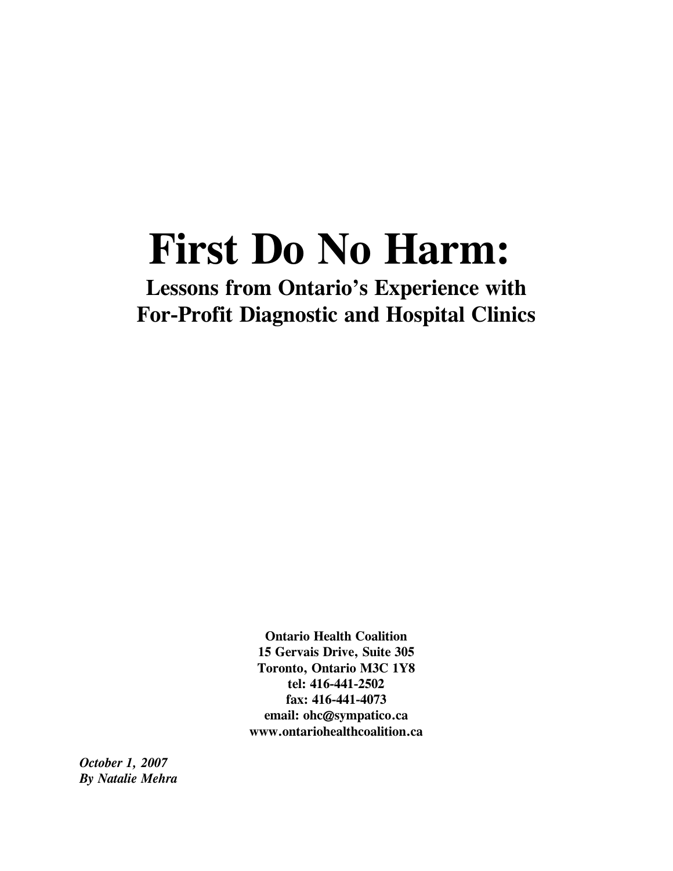# **First Do No Harm:**

**Lessons from Ontario's Experience with For-Profit Diagnostic and Hospital Clinics**

> **Ontario Health Coalition 15 Gervais Drive, Suite 305 Toronto, Ontario M3C 1Y8 tel: 416-441-2502 fax: 416-441-4073 email: ohc@sympatico.ca www.ontariohealthcoalition.ca**

*October 1, 2007 By Natalie Mehra*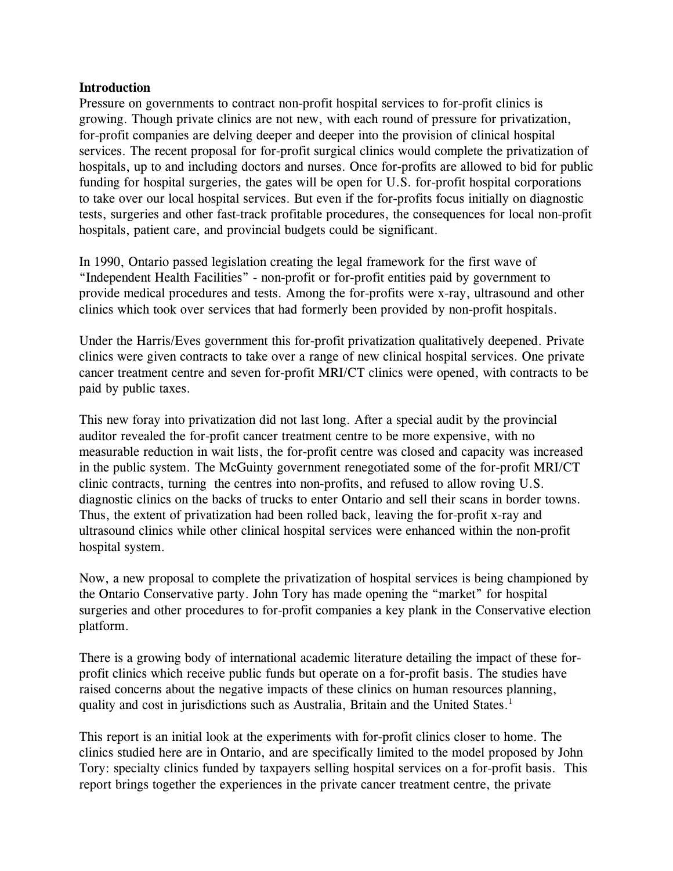#### **Introduction**

Pressure on governments to contract non-profit hospital services to for-profit clinics is growing. Though private clinics are not new, with each round of pressure for privatization, for-profit companies are delving deeper and deeper into the provision of clinical hospital services. The recent proposal for for-profit surgical clinics would complete the privatization of hospitals, up to and including doctors and nurses. Once for-profits are allowed to bid for public funding for hospital surgeries, the gates will be open for U.S. for-profit hospital corporations to take over our local hospital services. But even if the for-profits focus initially on diagnostic tests, surgeries and other fast-track profitable procedures, the consequences for local non-profit hospitals, patient care, and provincial budgets could be significant.

In 1990, Ontario passed legislation creating the legal framework for the first wave of "Independent Health Facilities" - non-profit or for-profit entities paid by government to provide medical procedures and tests. Among the for-profits were x-ray, ultrasound and other clinics which took over services that had formerly been provided by non-profit hospitals.

Under the Harris/Eves government this for-profit privatization qualitatively deepened. Private clinics were given contracts to take over a range of new clinical hospital services. One private cancer treatment centre and seven for-profit MRI/CT clinics were opened, with contracts to be paid by public taxes.

This new foray into privatization did not last long. After a special audit by the provincial auditor revealed the for-profit cancer treatment centre to be more expensive, with no measurable reduction in wait lists, the for-profit centre was closed and capacity was increased in the public system. The McGuinty government renegotiated some of the for-profit MRI/CT clinic contracts, turning the centres into non-profits, and refused to allow roving U.S. diagnostic clinics on the backs of trucks to enter Ontario and sell their scans in border towns. Thus, the extent of privatization had been rolled back, leaving the for-profit x-ray and ultrasound clinics while other clinical hospital services were enhanced within the non-profit hospital system.

Now, a new proposal to complete the privatization of hospital services is being championed by the Ontario Conservative party. John Tory has made opening the "market" for hospital surgeries and other procedures to for-profit companies a key plank in the Conservative election platform.

There is a growing body of international academic literature detailing the impact of these forprofit clinics which receive public funds but operate on a for-profit basis. The studies have raised concerns about the negative impacts of these clinics on human resources planning, quality and cost in jurisdictions such as Australia, Britain and the United States.<sup>1</sup>

This report is an initial look at the experiments with for-profit clinics closer to home. The clinics studied here are in Ontario, and are specifically limited to the model proposed by John Tory: specialty clinics funded by taxpayers selling hospital services on a for-profit basis. This report brings together the experiences in the private cancer treatment centre, the private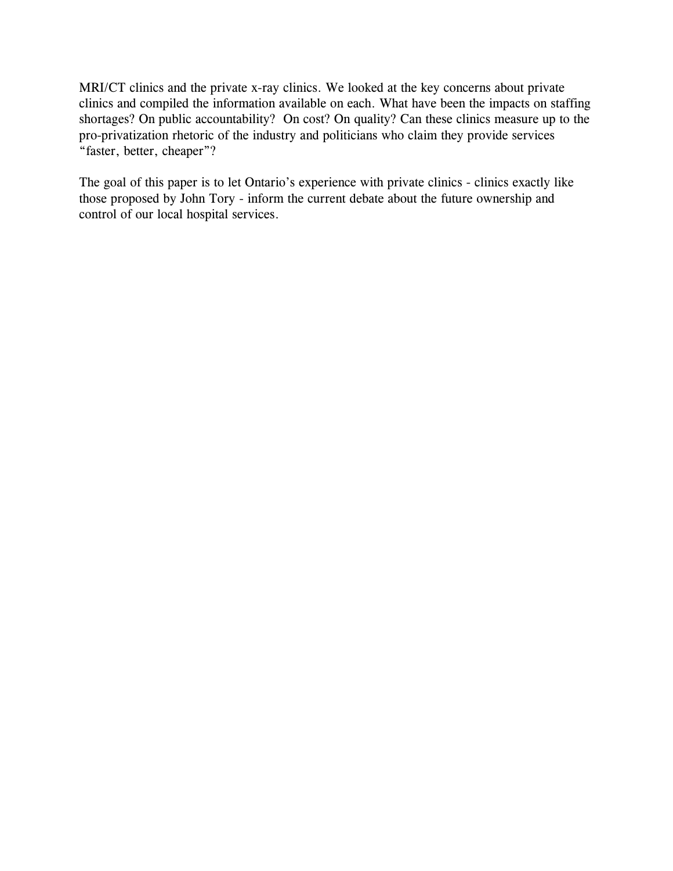MRI/CT clinics and the private x-ray clinics. We looked at the key concerns about private clinics and compiled the information available on each. What have been the impacts on staffing shortages? On public accountability? On cost? On quality? Can these clinics measure up to the pro-privatization rhetoric of the industry and politicians who claim they provide services "faster, better, cheaper"?

The goal of this paper is to let Ontario's experience with private clinics - clinics exactly like those proposed by John Tory - inform the current debate about the future ownership and control of our local hospital services.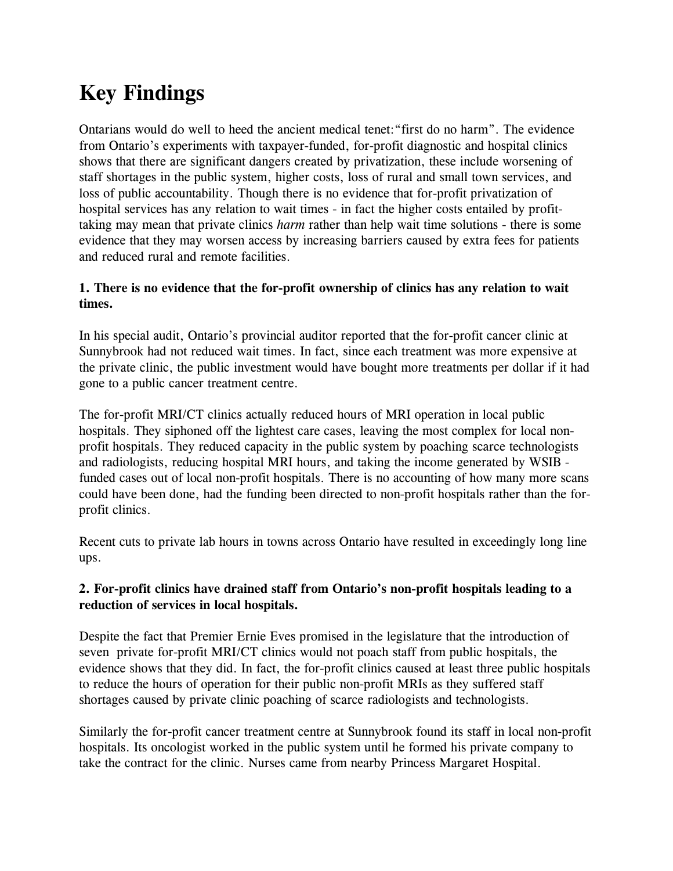# **Key Findings**

Ontarians would do well to heed the ancient medical tenet:"first do no harm". The evidence from Ontario's experiments with taxpayer-funded, for-profit diagnostic and hospital clinics shows that there are significant dangers created by privatization, these include worsening of staff shortages in the public system, higher costs, loss of rural and small town services, and loss of public accountability. Though there is no evidence that for-profit privatization of hospital services has any relation to wait times - in fact the higher costs entailed by profittaking may mean that private clinics *harm* rather than help wait time solutions - there is some evidence that they may worsen access by increasing barriers caused by extra fees for patients and reduced rural and remote facilities.

#### **1. There is no evidence that the for-profit ownership of clinics has any relation to wait times.**

In his special audit, Ontario's provincial auditor reported that the for-profit cancer clinic at Sunnybrook had not reduced wait times. In fact, since each treatment was more expensive at the private clinic, the public investment would have bought more treatments per dollar if it had gone to a public cancer treatment centre.

The for-profit MRI/CT clinics actually reduced hours of MRI operation in local public hospitals. They siphoned off the lightest care cases, leaving the most complex for local nonprofit hospitals. They reduced capacity in the public system by poaching scarce technologists and radiologists, reducing hospital MRI hours, and taking the income generated by WSIB funded cases out of local non-profit hospitals. There is no accounting of how many more scans could have been done, had the funding been directed to non-profit hospitals rather than the forprofit clinics.

Recent cuts to private lab hours in towns across Ontario have resulted in exceedingly long line ups.

#### **2. For-profit clinics have drained staff from Ontario's non-profit hospitals leading to a reduction of services in local hospitals.**

Despite the fact that Premier Ernie Eves promised in the legislature that the introduction of seven private for-profit MRI/CT clinics would not poach staff from public hospitals, the evidence shows that they did. In fact, the for-profit clinics caused at least three public hospitals to reduce the hours of operation for their public non-profit MRIs as they suffered staff shortages caused by private clinic poaching of scarce radiologists and technologists.

Similarly the for-profit cancer treatment centre at Sunnybrook found its staff in local non-profit hospitals. Its oncologist worked in the public system until he formed his private company to take the contract for the clinic. Nurses came from nearby Princess Margaret Hospital.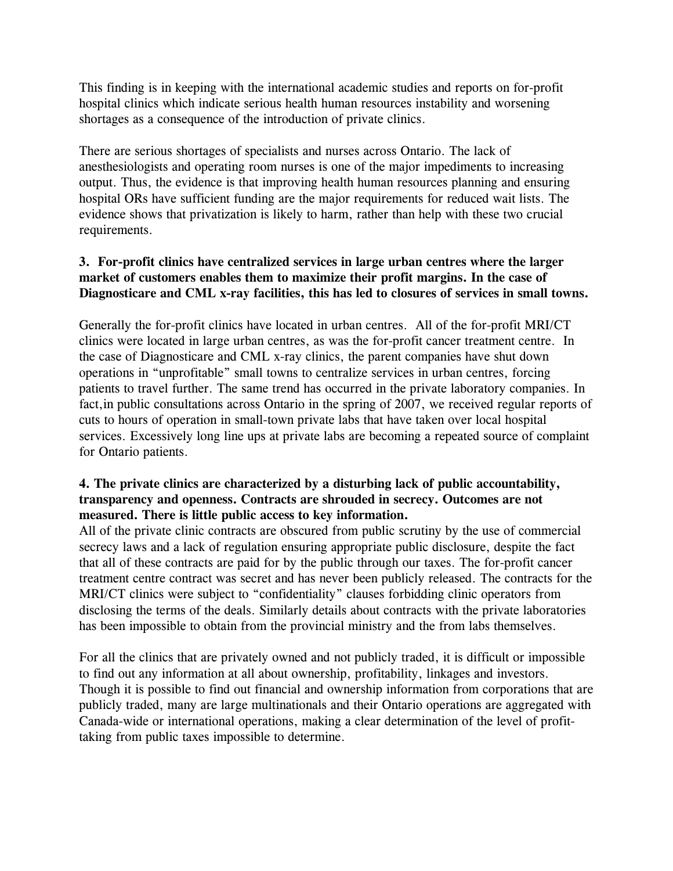This finding is in keeping with the international academic studies and reports on for-profit hospital clinics which indicate serious health human resources instability and worsening shortages as a consequence of the introduction of private clinics.

There are serious shortages of specialists and nurses across Ontario. The lack of anesthesiologists and operating room nurses is one of the major impediments to increasing output. Thus, the evidence is that improving health human resources planning and ensuring hospital ORs have sufficient funding are the major requirements for reduced wait lists. The evidence shows that privatization is likely to harm, rather than help with these two crucial requirements.

#### **3. For-profit clinics have centralized services in large urban centres where the larger market of customers enables them to maximize their profit margins. In the case of Diagnosticare and CML x-ray facilities, this has led to closures of services in small towns.**

Generally the for-profit clinics have located in urban centres. All of the for-profit MRI/CT clinics were located in large urban centres, as was the for-profit cancer treatment centre. In the case of Diagnosticare and CML x-ray clinics, the parent companies have shut down operations in "unprofitable" small towns to centralize services in urban centres, forcing patients to travel further. The same trend has occurred in the private laboratory companies. In fact,in public consultations across Ontario in the spring of 2007, we received regular reports of cuts to hours of operation in small-town private labs that have taken over local hospital services. Excessively long line ups at private labs are becoming a repeated source of complaint for Ontario patients.

#### **4. The private clinics are characterized by a disturbing lack of public accountability, transparency and openness. Contracts are shrouded in secrecy. Outcomes are not measured. There is little public access to key information.**

All of the private clinic contracts are obscured from public scrutiny by the use of commercial secrecy laws and a lack of regulation ensuring appropriate public disclosure, despite the fact that all of these contracts are paid for by the public through our taxes. The for-profit cancer treatment centre contract was secret and has never been publicly released. The contracts for the MRI/CT clinics were subject to "confidentiality" clauses forbidding clinic operators from disclosing the terms of the deals. Similarly details about contracts with the private laboratories has been impossible to obtain from the provincial ministry and the from labs themselves.

For all the clinics that are privately owned and not publicly traded, it is difficult or impossible to find out any information at all about ownership, profitability, linkages and investors. Though it is possible to find out financial and ownership information from corporations that are publicly traded, many are large multinationals and their Ontario operations are aggregated with Canada-wide or international operations, making a clear determination of the level of profittaking from public taxes impossible to determine.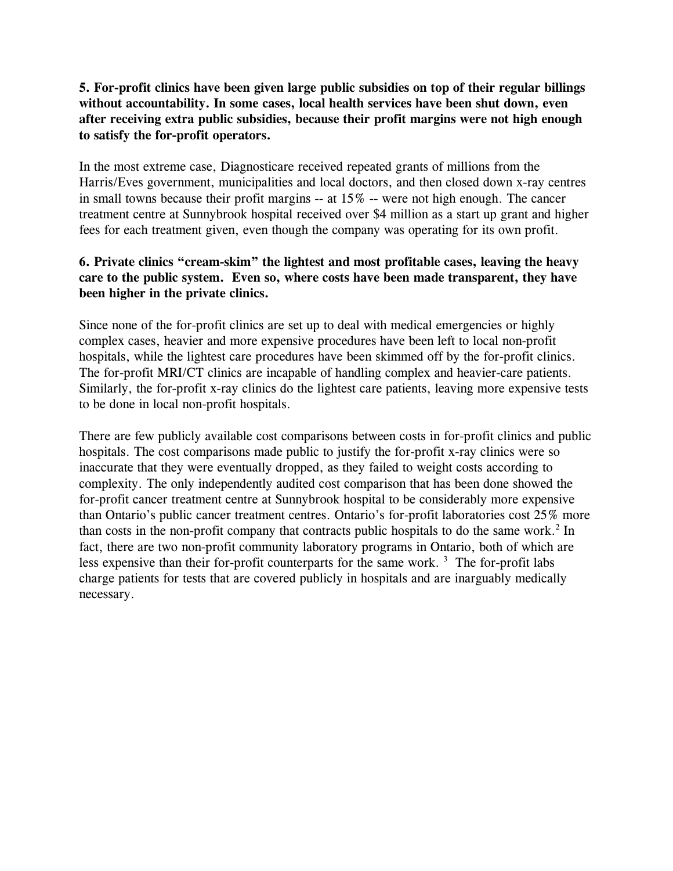**5. For-profit clinics have been given large public subsidies on top of their regular billings without accountability. In some cases, local health services have been shut down, even after receiving extra public subsidies, because their profit margins were not high enough to satisfy the for-profit operators.**

In the most extreme case, Diagnosticare received repeated grants of millions from the Harris/Eves government, municipalities and local doctors, and then closed down x-ray centres in small towns because their profit margins -- at 15% -- were not high enough. The cancer treatment centre at Sunnybrook hospital received over \$4 million as a start up grant and higher fees for each treatment given, even though the company was operating for its own profit.

#### **6. Private clinics "cream-skim" the lightest and most profitable cases, leaving the heavy care to the public system. Even so, where costs have been made transparent, they have been higher in the private clinics.**

Since none of the for-profit clinics are set up to deal with medical emergencies or highly complex cases, heavier and more expensive procedures have been left to local non-profit hospitals, while the lightest care procedures have been skimmed off by the for-profit clinics. The for-profit MRI/CT clinics are incapable of handling complex and heavier-care patients. Similarly, the for-profit x-ray clinics do the lightest care patients, leaving more expensive tests to be done in local non-profit hospitals.

There are few publicly available cost comparisons between costs in for-profit clinics and public hospitals. The cost comparisons made public to justify the for-profit x-ray clinics were so inaccurate that they were eventually dropped, as they failed to weight costs according to complexity. The only independently audited cost comparison that has been done showed the for-profit cancer treatment centre at Sunnybrook hospital to be considerably more expensive than Ontario's public cancer treatment centres. Ontario's for-profit laboratories cost 25% more than costs in the non-profit company that contracts public hospitals to do the same work.<sup>2</sup> In fact, there are two non-profit community laboratory programs in Ontario, both of which are less expensive than their for-profit counterparts for the same work.<sup>3</sup> The for-profit labs charge patients for tests that are covered publicly in hospitals and are inarguably medically necessary.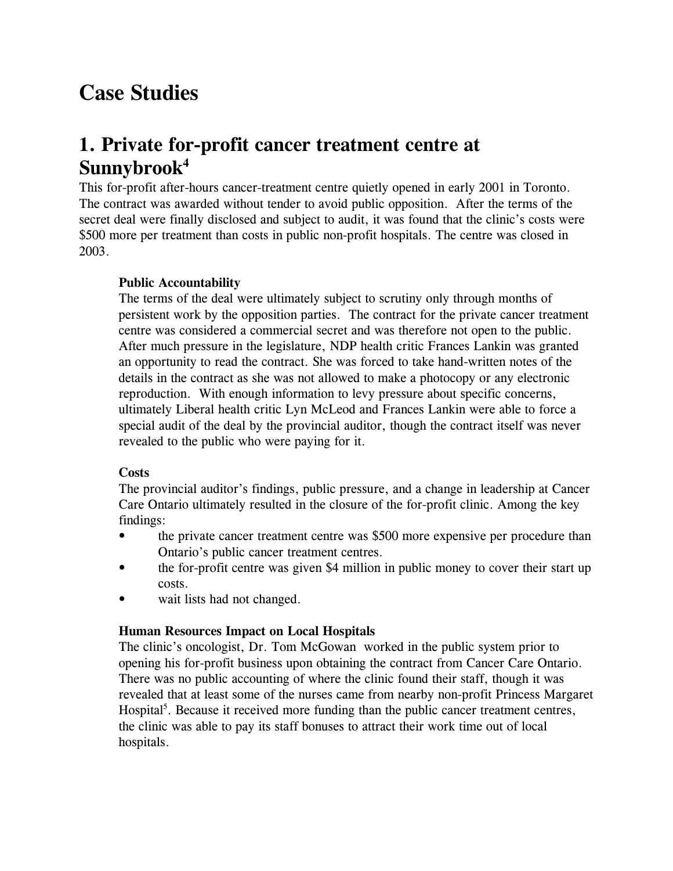# **Case Studies**

### **1. Private for-profit cancer treatment centre at Sunnybrook<sup>4</sup>**

This for-profit after-hours cancer-treatment centre quietly opened in early 2001 in Toronto. The contract was awarded without tender to avoid public opposition. After the terms of the secret deal were finally disclosed and subject to audit, it was found that the clinic's costs were \$500 more per treatment than costs in public non-profit hospitals. The centre was closed in 2003.

#### **Public Accountability**

The terms of the deal were ultimately subject to scrutiny only through months of persistent work by the opposition parties. The contract for the private cancer treatment centre was considered a commercial secret and was therefore not open to the public. After much pressure in the legislature, NDP health critic Frances Lankin was granted an opportunity to read the contract. She was forced to take hand-written notes of the details in the contract as she was not allowed to make a photocopy or any electronic reproduction. With enough information to levy pressure about specific concerns, ultimately Liberal health critic Lyn McLeod and Frances Lankin were able to force a special audit of the deal by the provincial auditor, though the contract itself was never revealed to the public who were paying for it.

#### **Costs**

The provincial auditor's findings, public pressure, and a change in leadership at Cancer Care Ontario ultimately resulted in the closure of the for-profit clinic. Among the key findings:

- the private cancer treatment centre was \$500 more expensive per procedure than Ontario's public cancer treatment centres.
- the for-profit centre was given \$4 million in public money to cover their start up costs.
- wait lists had not changed.

#### **Human Resources Impact on Local Hospitals**

The clinic's oncologist, Dr. Tom McGowan worked in the public system prior to opening his for-profit business upon obtaining the contract from Cancer Care Ontario. There was no public accounting of where the clinic found their staff, though it was revealed that at least some of the nurses came from nearby non-profit Princess Margaret Hospital<sup>5</sup>. Because it received more funding than the public cancer treatment centres, the clinic was able to pay its staff bonuses to attract their work time out of local hospitals.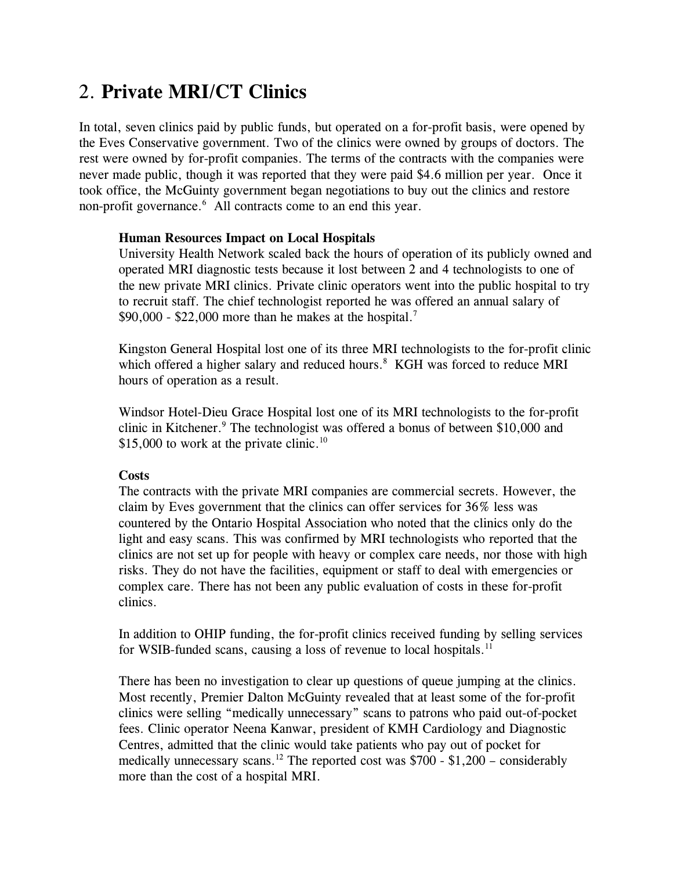## 2. **Private MRI/CT Clinics**

In total, seven clinics paid by public funds, but operated on a for-profit basis, were opened by the Eves Conservative government. Two of the clinics were owned by groups of doctors. The rest were owned by for-profit companies. The terms of the contracts with the companies were never made public, though it was reported that they were paid \$4.6 million per year. Once it took office, the McGuinty government began negotiations to buy out the clinics and restore non-profit governance.<sup>6</sup> All contracts come to an end this year.

#### **Human Resources Impact on Local Hospitals**

University Health Network scaled back the hours of operation of its publicly owned and operated MRI diagnostic tests because it lost between 2 and 4 technologists to one of the new private MRI clinics. Private clinic operators went into the public hospital to try to recruit staff. The chief technologist reported he was offered an annual salary of  $$90,000 - $22,000$  more than he makes at the hospital.<sup>7</sup>

Kingston General Hospital lost one of its three MRI technologists to the for-profit clinic which offered a higher salary and reduced hours.<sup>8</sup> KGH was forced to reduce MRI hours of operation as a result.

Windsor Hotel-Dieu Grace Hospital lost one of its MRI technologists to the for-profit clinic in Kitchener.<sup>9</sup> The technologist was offered a bonus of between \$10,000 and \$15,000 to work at the private clinic.<sup>10</sup>

#### **Costs**

The contracts with the private MRI companies are commercial secrets. However, the claim by Eves government that the clinics can offer services for 36% less was countered by the Ontario Hospital Association who noted that the clinics only do the light and easy scans. This was confirmed by MRI technologists who reported that the clinics are not set up for people with heavy or complex care needs, nor those with high risks. They do not have the facilities, equipment or staff to deal with emergencies or complex care. There has not been any public evaluation of costs in these for-profit clinics.

In addition to OHIP funding, the for-profit clinics received funding by selling services for WSIB-funded scans, causing a loss of revenue to local hospitals.<sup>11</sup>

There has been no investigation to clear up questions of queue jumping at the clinics. Most recently, Premier Dalton McGuinty revealed that at least some of the for-profit clinics were selling "medically unnecessary" scans to patrons who paid out-of-pocket fees. Clinic operator Neena Kanwar, president of KMH Cardiology and Diagnostic Centres, admitted that the clinic would take patients who pay out of pocket for medically unnecessary scans.<sup>12</sup> The reported cost was  $$700 - $1,200 -$  considerably more than the cost of a hospital MRI.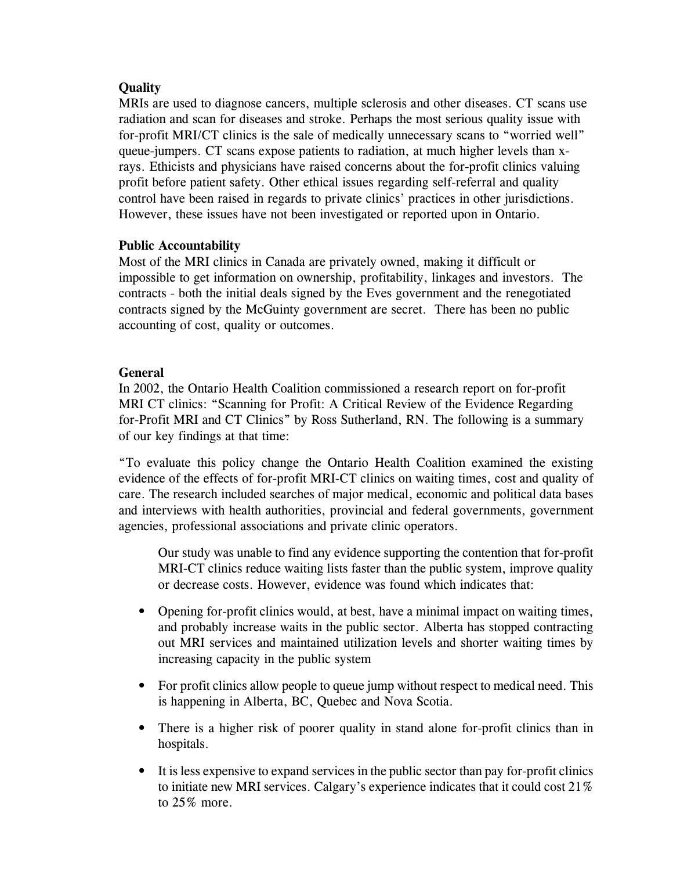#### **Quality**

MRIs are used to diagnose cancers, multiple sclerosis and other diseases. CT scans use radiation and scan for diseases and stroke. Perhaps the most serious quality issue with for-profit MRI/CT clinics is the sale of medically unnecessary scans to "worried well" queue-jumpers. CT scans expose patients to radiation, at much higher levels than xrays. Ethicists and physicians have raised concerns about the for-profit clinics valuing profit before patient safety. Other ethical issues regarding self-referral and quality control have been raised in regards to private clinics' practices in other jurisdictions. However, these issues have not been investigated or reported upon in Ontario.

#### **Public Accountability**

Most of the MRI clinics in Canada are privately owned, making it difficult or impossible to get information on ownership, profitability, linkages and investors. The contracts - both the initial deals signed by the Eves government and the renegotiated contracts signed by the McGuinty government are secret. There has been no public accounting of cost, quality or outcomes.

#### **General**

In 2002, the Ontario Health Coalition commissioned a research report on for-profit MRI CT clinics: "Scanning for Profit: A Critical Review of the Evidence Regarding for-Profit MRI and CT Clinics" by Ross Sutherland, RN. The following is a summary of our key findings at that time:

"To evaluate this policy change the Ontario Health Coalition examined the existing evidence of the effects of for-profit MRI-CT clinics on waiting times, cost and quality of care. The research included searches of major medical, economic and political data bases and interviews with health authorities, provincial and federal governments, government agencies, professional associations and private clinic operators.

Our study was unable to find any evidence supporting the contention that for-profit MRI-CT clinics reduce waiting lists faster than the public system, improve quality or decrease costs. However, evidence was found which indicates that:

- Opening for-profit clinics would, at best, have a minimal impact on waiting times, and probably increase waits in the public sector. Alberta has stopped contracting out MRI services and maintained utilization levels and shorter waiting times by increasing capacity in the public system
- For profit clinics allow people to queue jump without respect to medical need. This is happening in Alberta, BC, Quebec and Nova Scotia.
- There is a higher risk of poorer quality in stand alone for-profit clinics than in hospitals.
- It is less expensive to expand services in the public sector than pay for-profit clinics to initiate new MRI services. Calgary's experience indicates that it could cost 21% to 25% more.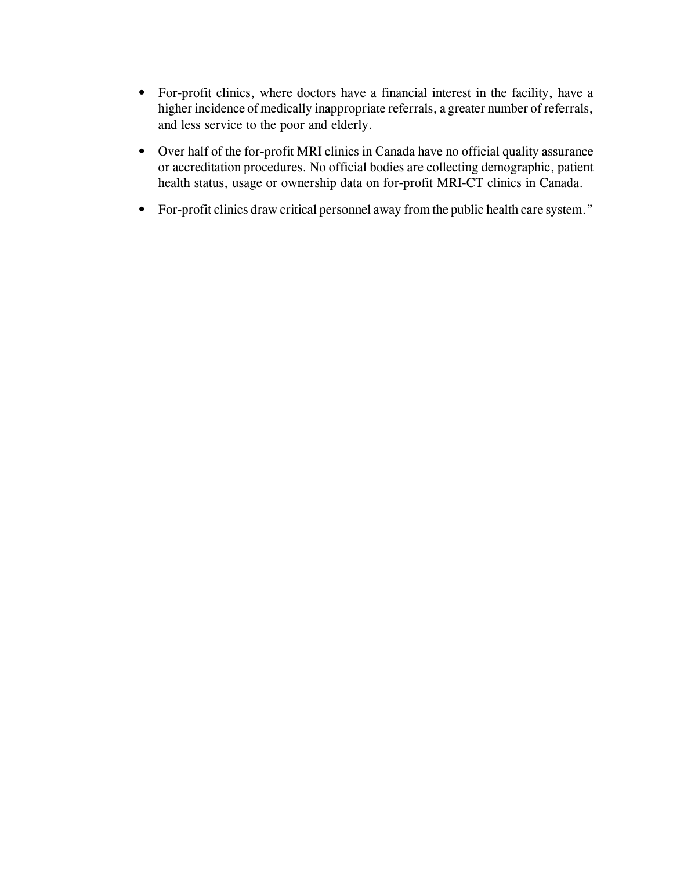- For-profit clinics, where doctors have a financial interest in the facility, have a higher incidence of medically inappropriate referrals, a greater number of referrals, and less service to the poor and elderly.
- Over half of the for-profit MRI clinics in Canada have no official quality assurance or accreditation procedures. No official bodies are collecting demographic, patient health status, usage or ownership data on for-profit MRI-CT clinics in Canada.
- For-profit clinics draw critical personnel away from the public health care system."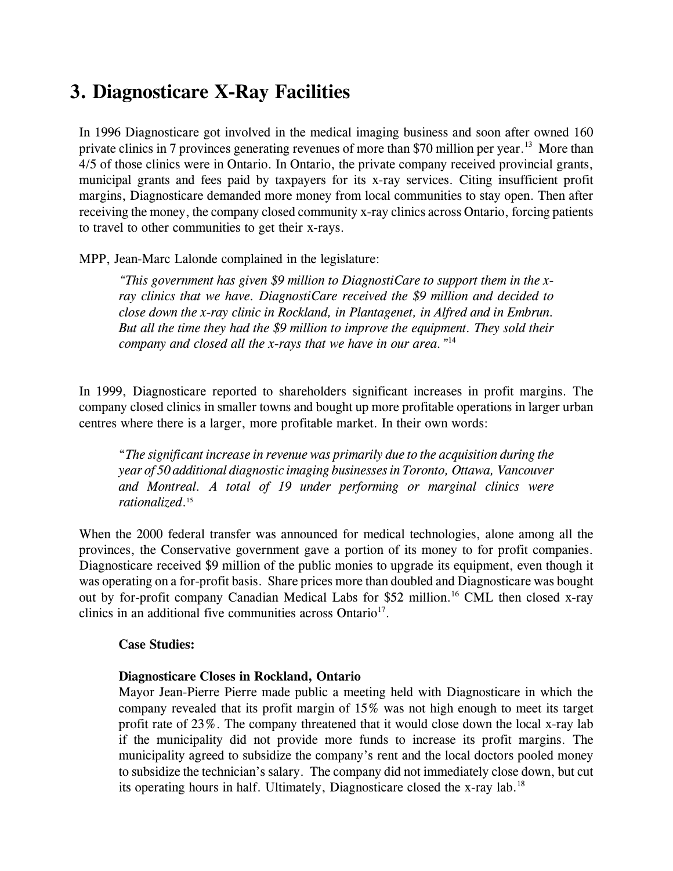### **3. Diagnosticare X-Ray Facilities**

In 1996 Diagnosticare got involved in the medical imaging business and soon after owned 160 private clinics in 7 provinces generating revenues of more than \$70 million per year.<sup>13</sup> More than 4/5 of those clinics were in Ontario. In Ontario, the private company received provincial grants, municipal grants and fees paid by taxpayers for its x-ray services. Citing insufficient profit margins, Diagnosticare demanded more money from local communities to stay open. Then after receiving the money, the company closed community x-ray clinics across Ontario, forcing patients to travel to other communities to get their x-rays.

MPP, Jean-Marc Lalonde complained in the legislature:

*"This government has given \$9 million to DiagnostiCare to support them in the xray clinics that we have. DiagnostiCare received the \$9 million and decided to close down the x-ray clinic in Rockland, in Plantagenet, in Alfred and in Embrun. But all the time they had the \$9 million to improve the equipment. They sold their company and closed all the x-rays that we have in our area."*<sup>14</sup>

In 1999, Diagnosticare reported to shareholders significant increases in profit margins. The company closed clinics in smaller towns and bought up more profitable operations in larger urban centres where there is a larger, more profitable market. In their own words:

"*The significant increase in revenue was primarily due to the acquisition during the year of 50 additional diagnostic imaging businesses in Toronto, Ottawa, Vancouver and Montreal. A total of 19 under performing or marginal clinics were rationalized*. 15

When the 2000 federal transfer was announced for medical technologies, alone among all the provinces, the Conservative government gave a portion of its money to for profit companies. Diagnosticare received \$9 million of the public monies to upgrade its equipment, even though it was operating on a for-profit basis. Share prices more than doubled and Diagnosticare was bought out by for-profit company Canadian Medical Labs for \$52 million.<sup>16</sup> CML then closed x-ray clinics in an additional five communities across Ontario<sup>17</sup>.

#### **Case Studies:**

#### **Diagnosticare Closes in Rockland, Ontario**

Mayor Jean-Pierre Pierre made public a meeting held with Diagnosticare in which the company revealed that its profit margin of 15% was not high enough to meet its target profit rate of 23%. The company threatened that it would close down the local x-ray lab if the municipality did not provide more funds to increase its profit margins. The municipality agreed to subsidize the company's rent and the local doctors pooled money to subsidize the technician's salary. The company did not immediately close down, but cut its operating hours in half. Ultimately, Diagnosticare closed the x-ray lab.<sup>18</sup>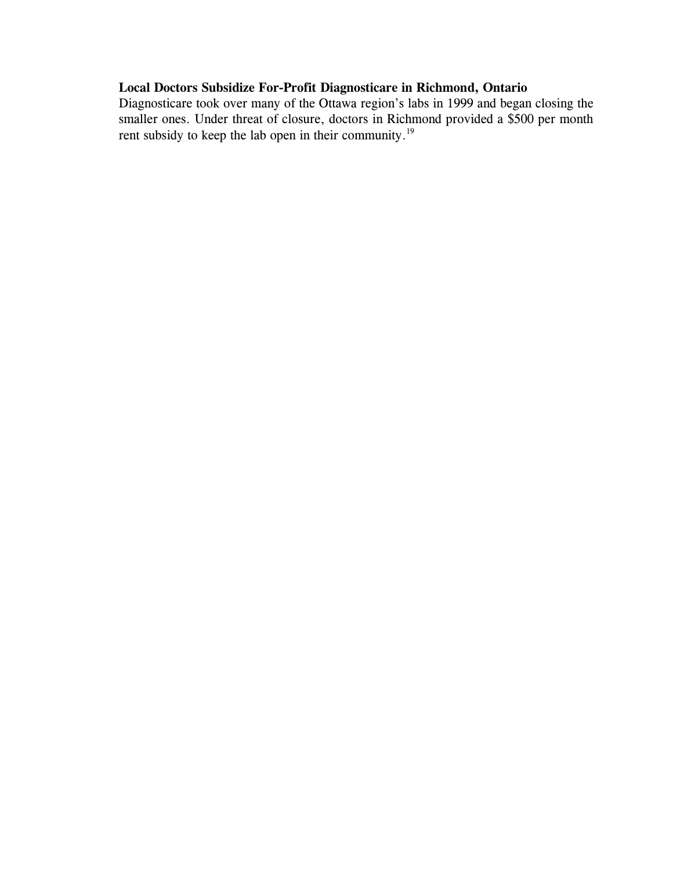#### **Local Doctors Subsidize For-Profit Diagnosticare in Richmond, Ontario**

Diagnosticare took over many of the Ottawa region's labs in 1999 and began closing the smaller ones. Under threat of closure, doctors in Richmond provided a \$500 per month rent subsidy to keep the lab open in their community.19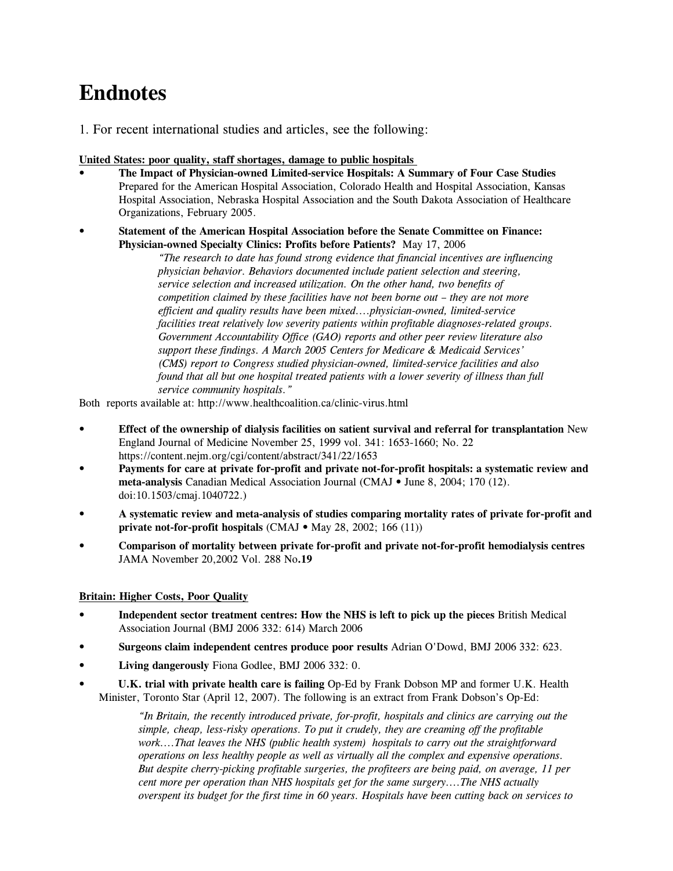# **Endnotes**

1. For recent international studies and articles, see the following:

#### **United States: poor quality, staff shortages, damage to public hospitals**

- **The Impact of Physician-owned Limited-service Hospitals: A Summary of Four Case Studies**  Prepared for the American Hospital Association, Colorado Health and Hospital Association, Kansas Hospital Association, Nebraska Hospital Association and the South Dakota Association of Healthcare Organizations, February 2005.
- **Statement of the American Hospital Association before the Senate Committee on Finance: Physician-owned Specialty Clinics: Profits before Patients?** May 17, 2006

*"The research to date has found strong evidence that financial incentives are influencing physician behavior. Behaviors documented include patient selection and steering, service selection and increased utilization. On the other hand, two benefits of competition claimed by these facilities have not been borne out – they are not more efficient and quality results have been mixed....physician-owned, limited-service facilities treat relatively low severity patients within profitable diagnoses-related groups. Government Accountability Office (GAO) reports and other peer review literature also support these findings. A March 2005 Centers for Medicare & Medicaid Services' (CMS) report to Congress studied physician-owned, limited-service facilities and also found that all but one hospital treated patients with a lower severity of illness than full service community hospitals."*

Both reports available at: http://www.healthcoalition.ca/clinic-virus.html

- **Effect of the ownership of dialysis facilities on satient survival and referral for transplantation** New England Journal of Medicine November 25, 1999 vol. 341: 1653-1660; No. 22 https://content.nejm.org/cgi/content/abstract/341/22/1653
- *•* **Payments for care at private for-profit and private not-for-profit hospitals: a systematic review and meta-analysis** Canadian Medical Association Journal (CMAJ • June 8, 2004; 170 (12). doi:10.1503/cmaj.1040722.)
- **A systematic review and meta-analysis of studies comparing mortality rates of private for-profit and private not-for-profit hospitals** (CMAJ • May 28, 2002; 166 (11))
- **Comparison of mortality between private for-profit and private not-for-profit hemodialysis centres** JAMA November 20,2002 Vol. 288 No**.19**

#### **Britain: Higher Costs, Poor Quality**

- **Independent sector treatment centres: How the NHS is left to pick up the pieces** British Medical Association Journal (BMJ 2006 332: 614) March 2006
- **Surgeons claim independent centres produce poor results** Adrian O'Dowd, BMJ 2006 332: 623.
- **Living dangerously** Fiona Godlee, BMJ 2006 332: 0.
- **U.K. trial with private health care is failing** Op-Ed by Frank Dobson MP and former U.K. Health Minister, Toronto Star (April 12, 2007). The following is an extract from Frank Dobson's Op-Ed:

*"In Britain, the recently introduced private, for-profit, hospitals and clinics are carrying out the simple, cheap, less-risky operations. To put it crudely, they are creaming off the profitable work....That leaves the NHS (public health system) hospitals to carry out the straightforward operations on less healthy people as well as virtually all the complex and expensive operations. But despite cherry-picking profitable surgeries, the profiteers are being paid, on average, 11 per cent more per operation than NHS hospitals get for the same surgery....The NHS actually overspent its budget for the first time in 60 years. Hospitals have been cutting back on services to*